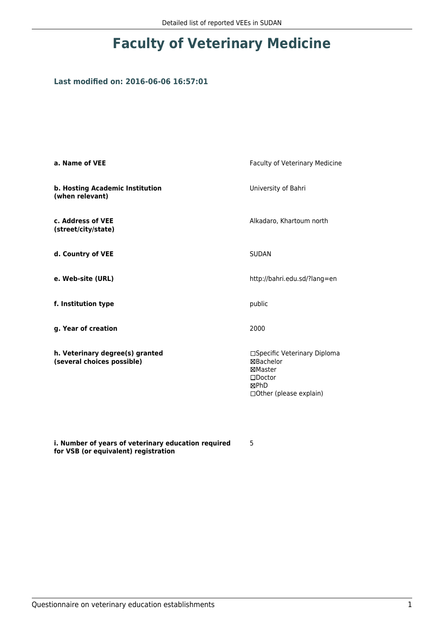# **Faculty of Veterinary Medicine**

### **Last modified on: 2016-06-06 16:57:01**

| a. Name of VEE                                                | Faculty of Veterinary Medicine                                                                               |  |
|---------------------------------------------------------------|--------------------------------------------------------------------------------------------------------------|--|
| b. Hosting Academic Institution<br>(when relevant)            | University of Bahri                                                                                          |  |
| c. Address of VEE<br>(street/city/state)                      | Alkadaro, Khartoum north                                                                                     |  |
| d. Country of VEE                                             | <b>SUDAN</b>                                                                                                 |  |
| e. Web-site (URL)                                             | http://bahri.edu.sd/?lang=en                                                                                 |  |
| f. Institution type                                           | public                                                                                                       |  |
| g. Year of creation                                           | 2000                                                                                                         |  |
| h. Veterinary degree(s) granted<br>(several choices possible) | □Specific Veterinary Diploma<br>⊠Bachelor<br>⊠Master<br>$\square$ Doctor<br>⊠PhD<br>□ Other (please explain) |  |

**i. Number of years of veterinary education required for VSB (or equivalent) registration**

5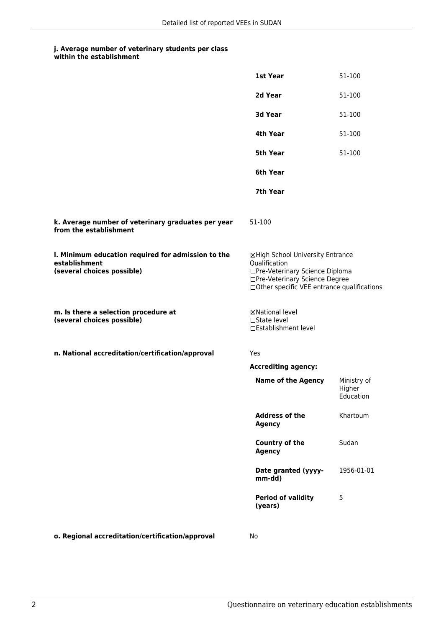## **j. Average number of veterinary students per class**

| within the establishment |
|--------------------------|
|                          |

|                                                                                                   | 1st Year                                                                                                                                                              | 51-100                             |
|---------------------------------------------------------------------------------------------------|-----------------------------------------------------------------------------------------------------------------------------------------------------------------------|------------------------------------|
|                                                                                                   | 2d Year                                                                                                                                                               | 51-100                             |
|                                                                                                   | 3d Year                                                                                                                                                               | 51-100                             |
|                                                                                                   | 4th Year                                                                                                                                                              | 51-100                             |
|                                                                                                   | 5th Year                                                                                                                                                              | 51-100                             |
|                                                                                                   | 6th Year                                                                                                                                                              |                                    |
|                                                                                                   | 7th Year                                                                                                                                                              |                                    |
| k. Average number of veterinary graduates per year<br>from the establishment                      | 51-100                                                                                                                                                                |                                    |
| I. Minimum education required for admission to the<br>establishment<br>(several choices possible) | ⊠High School University Entrance<br>Qualification<br>□Pre-Veterinary Science Diploma<br>□Pre-Veterinary Science Degree<br>□Other specific VEE entrance qualifications |                                    |
| m. Is there a selection procedure at<br>(several choices possible)                                | <b>⊠National level</b><br>$\Box$ State level<br>□Establishment level                                                                                                  |                                    |
| n. National accreditation/certification/approval                                                  | Yes                                                                                                                                                                   |                                    |
|                                                                                                   | <b>Accrediting agency:</b>                                                                                                                                            |                                    |
|                                                                                                   | <b>Name of the Agency</b>                                                                                                                                             | Ministry of<br>Higher<br>Education |
|                                                                                                   | <b>Address of the</b><br><b>Agency</b>                                                                                                                                | Khartoum                           |
|                                                                                                   | Country of the<br><b>Agency</b>                                                                                                                                       | Sudan                              |
|                                                                                                   | Date granted (yyyy-<br>mm-dd)                                                                                                                                         | 1956-01-01                         |
|                                                                                                   | <b>Period of validity</b><br>(years)                                                                                                                                  | 5                                  |
| o. Regional accreditation/certification/approval                                                  | No                                                                                                                                                                    |                                    |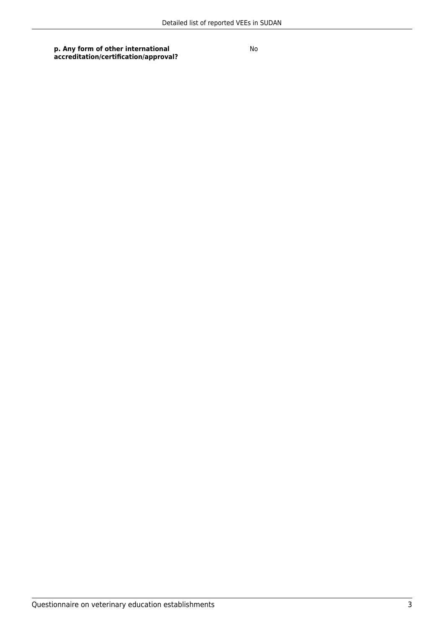#### **p. Any form of other international accreditation/certification/approval?**

No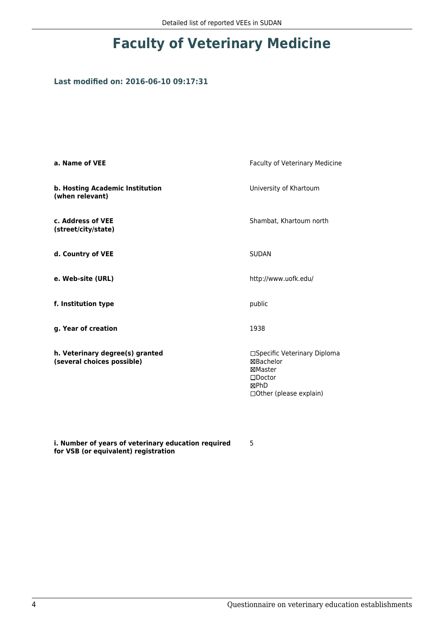# **Faculty of Veterinary Medicine**

### **Last modified on: 2016-06-10 09:17:31**

| a. Name of VEE                                                | <b>Faculty of Veterinary Medicine</b>                                                                             |  |
|---------------------------------------------------------------|-------------------------------------------------------------------------------------------------------------------|--|
| b. Hosting Academic Institution<br>(when relevant)            | University of Khartoum                                                                                            |  |
| c. Address of VEE<br>(street/city/state)                      | Shambat, Khartoum north                                                                                           |  |
| d. Country of VEE                                             | <b>SUDAN</b>                                                                                                      |  |
| e. Web-site (URL)                                             | http://www.uofk.edu/                                                                                              |  |
| f. Institution type                                           | public                                                                                                            |  |
| g. Year of creation                                           | 1938                                                                                                              |  |
| h. Veterinary degree(s) granted<br>(several choices possible) | □Specific Veterinary Diploma<br>⊠Bachelor<br>⊠Master<br>$\square$ Doctor<br>⊠PhD<br>$\Box$ Other (please explain) |  |

**i. Number of years of veterinary education required for VSB (or equivalent) registration**

5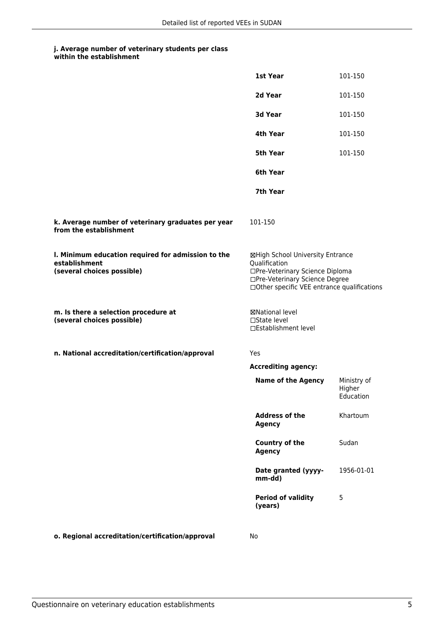## **j. Average number of veterinary students per class**

| within the establishment |
|--------------------------|
|                          |

|                                                                                                   | 1st Year                                                                                                                                                              | 101-150                            |
|---------------------------------------------------------------------------------------------------|-----------------------------------------------------------------------------------------------------------------------------------------------------------------------|------------------------------------|
|                                                                                                   | 2d Year                                                                                                                                                               | 101-150                            |
|                                                                                                   | 3d Year                                                                                                                                                               | 101-150                            |
|                                                                                                   | 4th Year                                                                                                                                                              | 101-150                            |
|                                                                                                   | 5th Year                                                                                                                                                              | 101-150                            |
|                                                                                                   | 6th Year                                                                                                                                                              |                                    |
|                                                                                                   | 7th Year                                                                                                                                                              |                                    |
| k. Average number of veterinary graduates per year<br>from the establishment                      | 101-150                                                                                                                                                               |                                    |
| I. Minimum education required for admission to the<br>establishment<br>(several choices possible) | ⊠High School University Entrance<br>Qualification<br>□Pre-Veterinary Science Diploma<br>□Pre-Veterinary Science Degree<br>□Other specific VEE entrance qualifications |                                    |
| m. Is there a selection procedure at<br>(several choices possible)                                | ⊠National level<br>$\Box$ State level<br>□Establishment level                                                                                                         |                                    |
| n. National accreditation/certification/approval                                                  | Yes                                                                                                                                                                   |                                    |
|                                                                                                   | <b>Accrediting agency:</b>                                                                                                                                            |                                    |
|                                                                                                   | <b>Name of the Agency</b>                                                                                                                                             | Ministry of<br>Higher<br>Education |
|                                                                                                   | <b>Address of the</b><br><b>Agency</b>                                                                                                                                | Khartoum                           |
|                                                                                                   | Country of the<br><b>Agency</b>                                                                                                                                       | Sudan                              |
|                                                                                                   | Date granted (yyyy-<br>mm-dd)                                                                                                                                         | 1956-01-01                         |
|                                                                                                   | <b>Period of validity</b><br>(years)                                                                                                                                  | 5                                  |
| o. Regional accreditation/certification/approval                                                  | No                                                                                                                                                                    |                                    |